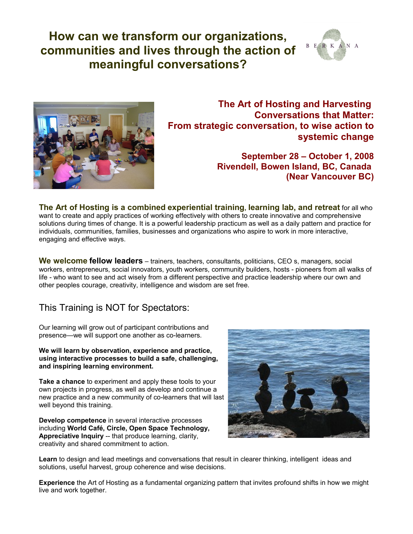# **How can we transform our organizations, communities and lives through the action of meaningful conversations?**





**The Art of Hosting and Harvesting Conversations that Matter: From strategic conversation, to wise action to systemic change**

> **September 28 – October 1, 2008 Rivendell, Bowen Island, BC, Canada (Near Vancouver BC)**

**The Art of Hosting is a combined experiential training, learning lab, and retreat** for all who want to create and apply practices of working effectively with others to create innovative and comprehensive solutions during times of change. It is a powerful leadership practicum as well as a daily pattern and practice for individuals, communities, families, businesses and organizations who aspire to work in more interactive, engaging and effective ways.

**We welcome fellow leaders** – trainers, teachers, consultants, politicians, CEO s, managers, social workers, entrepreneurs, social innovators, youth workers, community builders, hosts - pioneers from all walks of life - who want to see and act wisely from a different perspective and practice leadership where our own and other peoples courage, creativity, intelligence and wisdom are set free.

### This Training is NOT for Spectators:

Our learning will grow out of participant contributions and presence—we will support one another as co-learners.

**We will learn by observation, experience and practice, using interactive processes to build a safe, challenging, and inspiring learning environment.**

**Take a chance** to experiment and apply these tools to your own projects in progress, as well as develop and continue a new practice and a new community of co-learners that will last well beyond this training.

**Develop competence** in several interactive processes including **World Café, Circle, Open Space Technology, Appreciative Inquiry** -- that produce learning, clarity, creativity and shared commitment to action.



Learn to design and lead meetings and conversations that result in clearer thinking, intelligent ideas and solutions, useful harvest, group coherence and wise decisions.

**Experience** the Art of Hosting as a fundamental organizing pattern that invites profound shifts in how we might live and work together.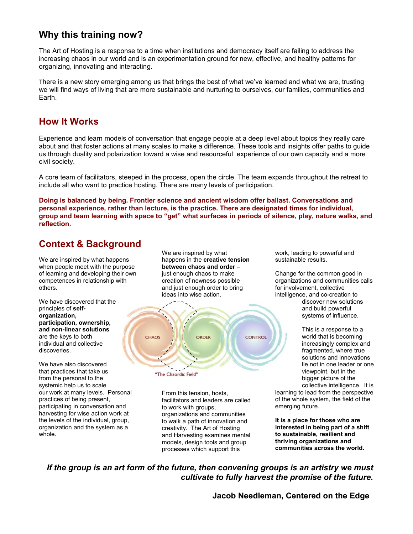## **Why this training now?**

The Art of Hosting is a response to a time when institutions and democracy itself are failing to address the increasing chaos in our world and is an experimentation ground for new, effective, and healthy patterns for organizing, innovating and interacting.

There is a new story emerging among us that brings the best of what we've learned and what we are, trusting we will find ways of living that are more sustainable and nurturing to ourselves, our families, communities and Earth.

### **How It Works**

Experience and learn models of conversation that engage people at a deep level about topics they really care about and that foster actions at many scales to make a difference. These tools and insights offer paths to guide us through duality and polarization toward a wise and resourceful experience of our own capacity and a more civil society.

A core team of facilitators, steeped in the process, open the circle. The team expands throughout the retreat to include all who want to practice hosting. There are many levels of participation.

**Doing is balanced by being. Frontier science and ancient wisdom offer ballast. Conversations and personal experience, rather than lecture, is the practice. There are designated times for individual, group and team learning with space to "get" what surfaces in periods of silence, play, nature walks, and reflection.**

## **Context & Background**

We are inspired by what happens when people meet with the purpose of learning and developing their own competences in relationship with others.

We have discovered that the principles of **selforganization, participation, ownership, and non-linear solutions** are the keys to both individual and collective discoveries.

We have also discovered that practices that take us from the personal to the systemic help us to scale our work at many levels. Personal practices of being present, participating in conversation and harvesting for wise action work at the levels of the individual, group, organization and the system as a whole.

We are inspired by what happens in the **creative tension between chaos and order** – just enough chaos to make creation of newness possible and just enough order to bring ideas into wise action.



From this tension, hosts, facilitators and leaders are called to work with groups, organizations and communities to walk a path of innovation and creativity. The Art of Hosting and Harvesting examines mental models, design tools and group processes which support this

work, leading to powerful and sustainable results.

Change for the common good in organizations and communities calls for involvement, collective intelligence, and co-creation to discover new solutions and build powerful systems of influence.

> This is a response to a world that is becoming increasingly complex and fragmented, where true solutions and innovations lie not in one leader or one viewpoint, but in the bigger picture of the collective intelligence. It is

learning to lead from the perspective of the whole system, the field of the emerging future.

**It is a place for those who are interested in being part of a shift to sustainable, resilient and thriving organizations and communities across the world.**

*If the group is an art form of the future, then convening groups is an artistry we must cultivate to fully harvest the promise of the future.*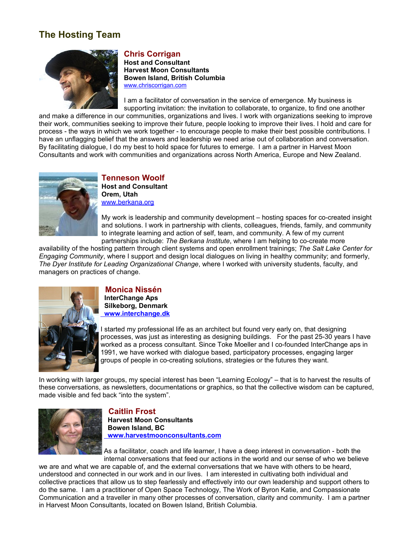## **The Hosting Team**



#### **Chris Corrigan**

**Host and Consultant Harvest Moon Consultants Bowen Island, British Columbia** [www.chriscorrigan.com](http://www.chriscorrigan.com/)

I am a facilitator of conversation in the service of emergence. My business is supporting invitation: the invitation to collaborate, to organize, to find one another

and make a difference in our communities, organizations and lives. I work with organizations seeking to improve their work, communities seeking to improve their future, people looking to improve their lives. I hold and care for process - the ways in which we work together - to encourage people to make their best possible contributions. I have an unflagging belief that the answers and leadership we need arise out of collaboration and conversation. By facilitating dialogue, I do my best to hold space for futures to emerge. I am a partner in Harvest Moon Consultants and work with communities and organizations across North America, Europe and New Zealand.



#### **Tenneson Woolf**

**Host and Consultant Orem, Utah** [www.berkana.org](http://www.berkana.org/)

My work is leadership and community development – hosting spaces for co-created insight and solutions. I work in partnership with clients, colleagues, friends, family, and community to integrate learning and action of self, team, and community. A few of my current partnerships include: *The Berkana Institute*, where I am helping to co-create more

availability of the hosting pattern through client systems and open enrollment trainings; *The Salt Lake Center for Engaging Community*, where I support and design local dialogues on living in healthy community; and formerly, *The Dyer Institute for Leading Organizational Change*, where I worked with university students, faculty, and managers on practices of change.



#### **Monica Nissén**

 **InterChange Aps Silkeborg, Denmark  [www.interchange.dk](http://www.harvestmoonconsultants.com/)**

I started my professional life as an architect but found very early on, that designing processes, was just as interesting as designing buildings. For the past 25-30 years I have worked as a process consultant. Since Toke Moeller and I co-founded InterChange aps in 1991, we have worked with dialogue based, participatory processes, engaging larger groups of people in co-creating solutions, strategies or the futures they want.

In working with larger groups, my special interest has been "Learning Ecology" – that is to harvest the results of these conversations, as newsletters, documentations or graphics, so that the collective wisdom can be captured, made visible and fed back "into the system".



## **Caitlin Frost**

 **Harvest Moon Consultants Bowen Island, BC  [www.harvestmoonconsultants.com](http://www.harvestmoonconsultants.com/)**

As a facilitator, coach and life learner, I have a deep interest in conversation - both the internal conversations that feed our actions in the world and our sense of who we believe

we are and what we are capable of, and the external conversations that we have with others to be heard, understood and connected in our work and in our lives. I am interested in cultivating both individual and collective practices that allow us to step fearlessly and effectively into our own leadership and support others to do the same. I am a practitioner of Open Space Technology, The Work of Byron Katie, and Compassionate Communication and a traveller in many other processes of conversation, clarity and community. I am a partner in Harvest Moon Consultants, located on Bowen Island, British Columbia.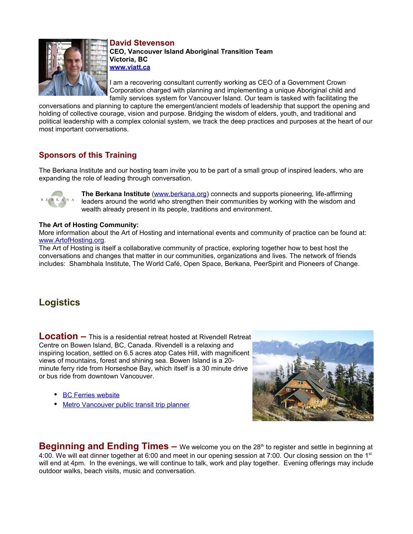

**David Stevenson CEO, Vancouver Island Aboriginal Transition Team Victoria, BC [www.viatt.ca](http://www.viatt.ca/)**

I am a recovering consultant currently working as CEO of a Government Crown Corporation charged with planning and implementing a unique Aboriginal child and family services system for Vancouver Island. Our team is tasked with facilitating the

conversations and planning to capture the emergent/ancient models of leadership that support the opening and holding of collective courage, vision and purpose. Bridging the wisdom of elders, youth, and traditional and political leadership with a complex colonial system, we track the deep practices and purposes at the heart of our most important conversations.

#### **Sponsors of this Training**

The Berkana Institute and our hosting team invite you to be part of a small group of inspired leaders, who are expanding the role of leading through conversation.



**The Berkana Institute** [\(www.berkana.org\)](http://www.berkana.org/) connects and supports pioneering, life-affirming leaders around the world who strengthen their communities by working with the wisdom and wealth already present in its people, traditions and environment.

#### **The Art of Hosting Community:**

More information about the Art of Hosting and international events and community of practice can be found at: [www.ArtofHosting.org.](http://www.ArtofHosting.org/)

The Art of Hosting is itself a collaborative community of practice, exploring together how to best host the conversations and changes that matter in our communities, organizations and lives. The network of friends includes: Shambhala Institute, The World Café, Open Space, Berkana, PeerSpirit and Pioneers of Change.

## **Logistics**

**Location –** This is a residential retreat hosted at Rivendell Retreat Centre on Bowen Island, BC, Canada. Rivendell is a relaxing and inspiring location, settled on 6.5 acres atop Cates Hill, with magnificent views of mountains, forest and shining sea. Bowen Island is a 20 minute ferry ride from Horseshoe Bay, which itself is a 30 minute drive or bus ride from downtown Vancouver.

- **BC Ferries website**
- [Metro Vancouver public transit trip planner](http://tripplanning.translink.bc.ca/hiwire?.a=iTripPlanning)



**Beginning and Ending Times –** We welcome you on the 28<sup>th</sup> to register and settle in beginning at 4:00. We will eat dinner together at 6:00 and meet in our opening session at 7:00. Our closing session on the 1<sup>st</sup> will end at 4pm. In the evenings, we will continue to talk, work and play together. Evening offerings may include outdoor walks, beach visits, music and conversation.